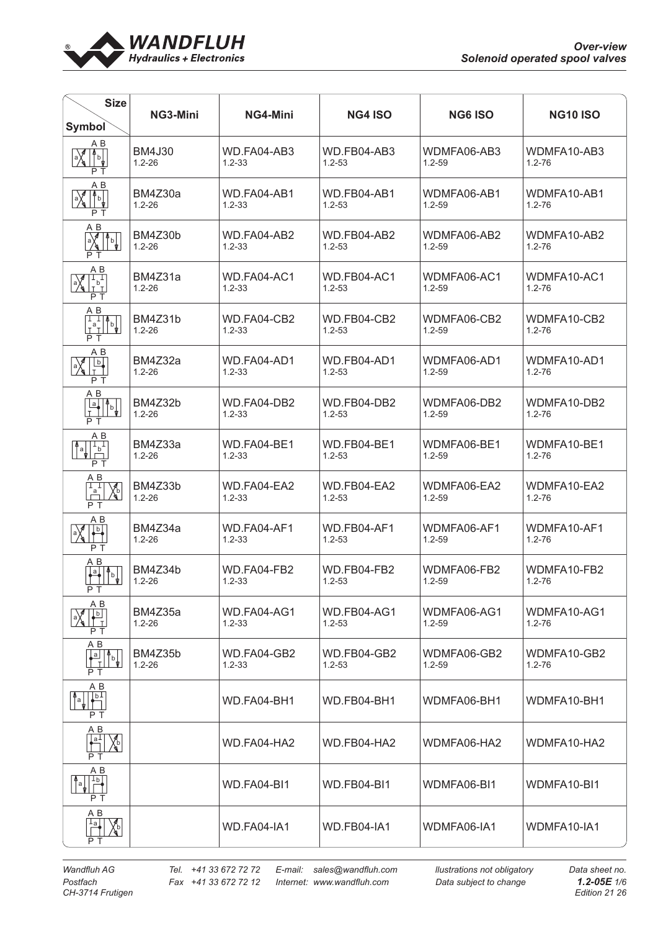

| <b>Size</b><br><b>Symbol</b>                                                                                                                                                                                                                                                                                                                                                                                                                      | NG3-Mini                    | NG4-Mini                  | <b>NG4 ISO</b>                   | <b>NG6 ISO</b>            | <b>NG10 ISO</b>           |
|---------------------------------------------------------------------------------------------------------------------------------------------------------------------------------------------------------------------------------------------------------------------------------------------------------------------------------------------------------------------------------------------------------------------------------------------------|-----------------------------|---------------------------|----------------------------------|---------------------------|---------------------------|
| ΑB<br>$\frac{1}{\sqrt{2}}$<br>$\sum_{i=1}^{\lfloor n/2\rfloor}$<br>P T                                                                                                                                                                                                                                                                                                                                                                            | <b>BM4J30</b><br>$1.2 - 26$ | WD.FA04-AB3<br>$1.2 - 33$ | WD.FB04-AB3<br>$1.2 - 53$        | WDMFA06-AB3<br>$1.2 - 59$ | WDMFA10-AB3<br>$1.2 - 76$ |
| A B<br>$\sqrt{\frac{2}{3}}$<br>$\int_{b}$<br>P T                                                                                                                                                                                                                                                                                                                                                                                                  | BM4Z30a<br>$1.2 - 26$       | WD.FA04-AB1<br>$1.2 - 33$ | WD.FB04-AB1<br>$1.2 - 53$        | WDMFA06-AB1<br>$1.2 - 59$ | WDMFA10-AB1<br>$1.2 - 76$ |
| $A \underline{B}$<br>$a \left( \frac{1}{2} \right)$<br>P T                                                                                                                                                                                                                                                                                                                                                                                        | BM4Z30b<br>$1.2 - 26$       | WD.FA04-AB2<br>$1.2 - 33$ | WD.FB04-AB2<br>$1.2 - 53$        | WDMFA06-AB2<br>$1.2 - 59$ | WDMFA10-AB2<br>$1.2 - 76$ |
| A B<br>Ï,<br>$\frac{1}{2}$<br>P T                                                                                                                                                                                                                                                                                                                                                                                                                 | BM4Z31a<br>$1.2 - 26$       | WD.FA04-AC1<br>$1.2 - 33$ | WD.FB04-AC1<br>$1.2 - 53$        | WDMFA06-AC1<br>1.2-59     | WDMFA10-AC1<br>$1.2 - 76$ |
| $A B$<br>$\begin{bmatrix} 1 & 1 & 4 \ 1 & 1 & 6 \ 1 & 1 & 6 \end{bmatrix}$<br>P T                                                                                                                                                                                                                                                                                                                                                                 | BM4Z31b<br>$1.2 - 26$       | WD.FA04-CB2<br>$1.2 - 33$ | WD.FB04-CB2<br>$1.2 - 53$        | WDMFA06-CB2<br>$1.2 - 59$ | WDMFA10-CB2<br>$1.2 - 76$ |
| A B<br>$\frac{b}{1}$<br>$\mathbb{R}$<br>PТ                                                                                                                                                                                                                                                                                                                                                                                                        | BM4Z32a<br>$1.2 - 26$       | WD.FA04-AD1<br>$1.2 - 33$ | WD.FB04-AD1<br>$1.2 - 53$        | WDMFA06-AD1<br>$1.2 - 59$ | WDMFA10-AD1<br>$1.2 - 76$ |
| A B<br>$\begin{array}{c c}\n\hline\na \\ \hline\nT\n\end{array}\n\qquad\n\begin{array}{c}\n\uparrow \\ \uparrow\n\end{array}\n\qquad\n\begin{array}{c}\n\downarrow \\ \uparrow\n\end{array}\n\qquad\n\begin{array}{c}\n\downarrow \\ \uparrow\n\end{array}$<br>P T                                                                                                                                                                                | BM4Z32b<br>$1.2 - 26$       | WD.FA04-DB2<br>$1.2 - 33$ | WD.FB04-DB2<br>$1.2 - 53$        | WDMFA06-DB2<br>$1.2 - 59$ | WDMFA10-DB2<br>$1.2 - 76$ |
| $\begin{array}{c}\nA & B \\ \hline\n\downarrow b \\ \hline\n\end{array}$<br>$^{\mathtt{A}}$ a $\mid$<br>P T                                                                                                                                                                                                                                                                                                                                       | BM4Z33a<br>$1.2 - 26$       | WD.FA04-BE1<br>$1.2 - 33$ | WD.FB04-BE1<br>$1.2 - 53$        | WDMFA06-BE1<br>$1.2 - 59$ | WDMFA10-BE1<br>$1.2 - 76$ |
| $\begin{array}{c}\nA & B \\ \hline\nI_a \\ D\n\end{array}$<br>$\chi_{\rm b}$<br>РT                                                                                                                                                                                                                                                                                                                                                                | BM4Z33b<br>$1.2 - 26$       | WD.FA04-EA2<br>$1.2 - 33$ | WD.FB04-EA2<br>$1.2 - 53$        | WDMFA06-EA2<br>$1.2 - 59$ | WDMFA10-EA2<br>$1.2 - 76$ |
| A B<br>$\begin{array}{c} \hline \mathbf{b} \\ \hline \end{array}$<br>PТ                                                                                                                                                                                                                                                                                                                                                                           | BM4Z34a<br>$1.2 - 26$       | WD.FA04-AF1<br>$1.2 - 33$ | WD.FB04-AF1<br>$1.2 - 53$        | WDMFA06-AF1<br>1.2-59     | WDMFA10-AF1<br>$1.2 - 76$ |
| $A$ $B$<br>$\frac{a}{\sqrt{a}}$<br>$\int_{0}^{\infty}$<br>РT                                                                                                                                                                                                                                                                                                                                                                                      | BM4Z34b<br>$1.2 - 26$       | WD.FA04-FB2<br>$1.2 - 33$ | WD.FB04-FB2<br>$1.2 - 53$        | WDMFA06-FB2<br>$1.2 - 59$ | WDMFA10-FB2<br>$1.2 - 76$ |
| A B<br>$\lfloor \frac{b}{2} \rfloor$<br>T<br>P T                                                                                                                                                                                                                                                                                                                                                                                                  | BM4Z35a<br>$1.2 - 26$       | WD.FA04-AG1<br>$1.2 - 33$ | <b>WD.FB04-AG1</b><br>$1.2 - 53$ | WDMFA06-AG1<br>$1.2 - 59$ | WDMFA10-AG1<br>$1.2 - 76$ |
| A B<br>$\begin{array}{c c}\n a & b \\  \hline\n 1 & b\n \end{array}$<br>P T                                                                                                                                                                                                                                                                                                                                                                       | BM4Z35b<br>$1.2 - 26$       | WD.FA04-GB2<br>$1.2 - 33$ | WD.FB04-GB2<br>$1.2 - 53$        | WDMFA06-GB2<br>1.2-59     | WDMFA10-GB2<br>$1.2 - 76$ |
| A B<br>$\begin{array}{ c c c c }\n\hline\n\multicolumn{1}{ c }{a} & \multicolumn{1}{ c }{b} \\ \hline\n\multicolumn{1}{ c }{b} & \multicolumn{1}{ c }{b} \\ \hline\n\multicolumn{1}{ c }{b} & \multicolumn{1}{ c }{b} \\ \hline\n\multicolumn{1}{ c }{b} & \multicolumn{1}{ c }{b} \\ \hline\n\multicolumn{1}{ c }{b} & \multicolumn{1}{ c }{b} \\ \hline\n\multicolumn{1}{ c }{b} & \multicolumn{1}{ c }{b} \\ \hline\n\multicolumn{1}{ $<br>P T |                             | WD.FA04-BH1               | WD.FB04-BH1                      | WDMFA06-BH1               | WDMFA10-BH1               |
| $A$ $B$<br>$\left  \bullet \right $<br>$\chi_{\rm b}$<br>P T                                                                                                                                                                                                                                                                                                                                                                                      |                             | WD.FA04-HA2               | WD.FB04-HA2                      | WDMFA06-HA2               | WDMFA10-HA2               |
| AВ<br>$\frac{1}{\sqrt{2}}$<br>¶a ∣<br>P T                                                                                                                                                                                                                                                                                                                                                                                                         |                             | WD.FA04-BI1               | WD.FB04-BI1                      | WDMFA06-BI1               | WDMFA10-BI1               |
| $A$ $B$<br>$\begin{bmatrix} 1_a & b \\ c & d \end{bmatrix}$<br>P T                                                                                                                                                                                                                                                                                                                                                                                |                             | WD.FA04-IA1               | WD.FB04-IA1                      | WDMFA06-IA1               | WDMFA10-IA1               |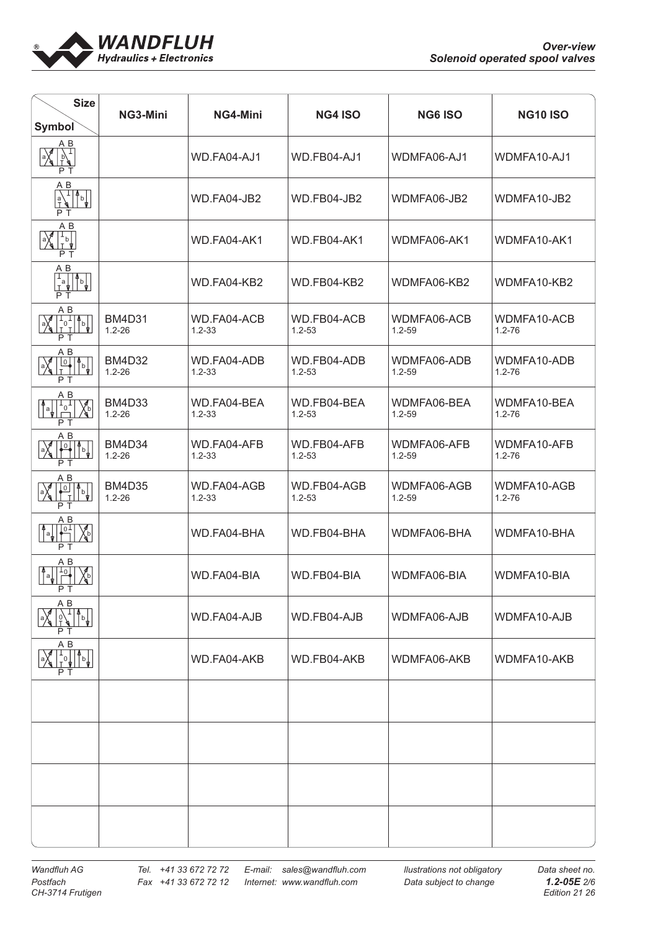

| <b>Size</b><br>Symbol                                                                                               | NG3-Mini                    | NG4-Mini                  | <b>NG4 ISO</b>            | <b>NG6 ISO</b>            | <b>NG10 ISO</b>           |
|---------------------------------------------------------------------------------------------------------------------|-----------------------------|---------------------------|---------------------------|---------------------------|---------------------------|
| AΒ<br>$\frac{1}{6}\sqrt{\frac{1}{1}}$<br>$\left  \frac{a}{\sqrt{a}} \right $<br>РT                                  |                             | WD.FA04-AJ1               | WD.FB04-AJ1               | WDMFA06-AJ1               | WDMFA10-AJ1               |
| $A$ $B$<br>$\frac{1}{\sqrt{2}}$<br>$\mathbf{a}^{\mathbf{a}}_{\mathbf{b}}$<br>P T                                    |                             | WD.FA04-JB2               | WD.FB04-JB2               | WDMFA06-JB2               | WDMFA10-JB2               |
| ΑB<br>$\begin{bmatrix} 1 \\ b \\ 1 \end{bmatrix}$<br>$\mathbb{Z}$<br>P T                                            |                             | WD.FA04-AK1               | WD.FB04-AK1               | WDMFA06-AK1               | WDMFA10-AK1               |
| ΑB<br>$\mathbf{T}_\mathbf{a}$<br>$\overline{P}$ T                                                                   |                             | WD.FA04-KB2               | WD.FB04-KB2               | WDMFA06-KB2               | WDMFA10-KB2               |
| ΑB<br>$\sqrt{\frac{1}{10}}$<br>P T                                                                                  | <b>BM4D31</b><br>$1.2 - 26$ | WD.FA04-ACB<br>$1.2 - 33$ | WD.FB04-ACB<br>$1.2 - 53$ | WDMFA06-ACB<br>$1.2 - 59$ | WDMFA10-ACB<br>$1.2 - 76$ |
| ΑB<br>$\frac{1}{\sqrt{2}}$<br>$\frac{10}{T}$<br>$\int d^7$<br>P T                                                   | <b>BM4D32</b><br>$1.2 - 26$ | WD.FA04-ADB<br>$1.2 - 33$ | WD.FB04-ADB<br>$1.2 - 53$ | WDMFA06-ADB<br>$1.2 - 59$ | WDMFA10-ADB<br>$1.2 - 76$ |
| A B<br>$\begin{bmatrix} 4 \\ 8 \\ 1 \end{bmatrix}$<br>$\sqrt{\frac{2}{3}}$<br>P T                                   | <b>BM4D33</b><br>$1.2 - 26$ | WD.FA04-BEA<br>$1.2 - 33$ | WD.FB04-BEA<br>$1.2 - 53$ | WDMFA06-BEA<br>$1.2 - 59$ | WDMFA10-BEA<br>$1.2 - 76$ |
| ΑB<br>$\frac{1}{2}$<br>$\sqrt{\frac{1}{2}}$<br>↑<br>P T                                                             | <b>BM4D34</b><br>$1.2 - 26$ | WD.FA04-AFB<br>$1.2 - 33$ | WD.FB04-AFB<br>$1.2 - 53$ | WDMFA06-AFB<br>$1.2 - 59$ | WDMFA10-AFB<br>$1.2 - 76$ |
| A B<br>$\mathbb{R}$<br>$\sqrt{\circ}$<br>$\sqrt{\frac{1}{2}}$<br>$\mathsf{T}$<br>P T                                | <b>BM4D35</b><br>$1.2 - 26$ | WD.FA04-AGB<br>$1.2 - 33$ | WD.FB04-AGB<br>$1.2 - 53$ | WDMFA06-AGB<br>$1.2 - 59$ | WDMFA10-AGB<br>$1.2 - 76$ |
| AВ<br>$\sqrt{10}$<br>℅<br>∣ ∯a<br>PТ                                                                                |                             | WD.FA04-BHA               | WD.FB04-BHA               | WDMFA06-BHA               | WDMFA10-BHA               |
| ΑB<br>$\begin{array}{ c c c }\n\hline\n\text{a} & \text{b} \\ \hline\n\text{b} & \text{c}\n\end{array}$<br>Xb<br>PТ |                             | WD.FA04-BIA               | WD.FB04-BIA               | WDMFA06-BIA               | WDMFA10-BIA               |
| A B<br>$\int_{b}$<br>PТ                                                                                             |                             | WD.FA04-AJB               | WD.FB04-AJB               | WDMFA06-AJB               | WDMFA10-AJB               |
| AВ<br>$\begin{array}{ c c c }\n\hline\n1 & 0 & 0 \\ \hline\n\end{array}$<br>РТ                                      |                             | WD.FA04-AKB               | WD.FB04-AKB               | WDMFA06-AKB               | WDMFA10-AKB               |
|                                                                                                                     |                             |                           |                           |                           |                           |
|                                                                                                                     |                             |                           |                           |                           |                           |
|                                                                                                                     |                             |                           |                           |                           |                           |
|                                                                                                                     |                             |                           |                           |                           |                           |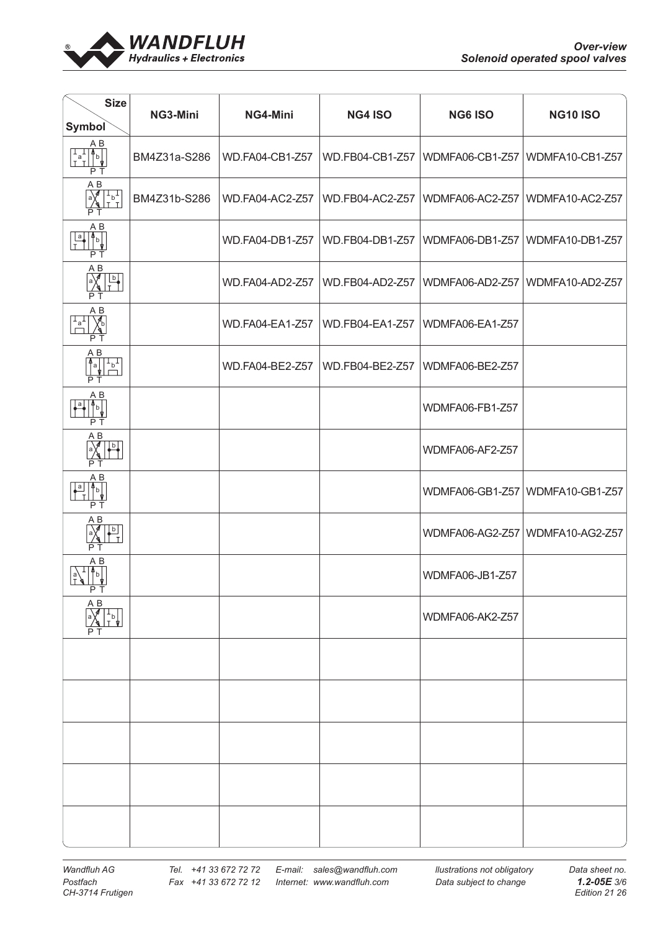

| <b>Size</b><br><b>Symbol</b>                                                           | NG3-Mini     | NG4-Mini               | <b>NG4 ISO</b>  | <b>NG6 ISO</b>  | <b>NG10 ISO</b>                 |
|----------------------------------------------------------------------------------------|--------------|------------------------|-----------------|-----------------|---------------------------------|
| A B<br>$\begin{bmatrix} 1 & 1 \\ a & b \\ 1 & 1 \end{bmatrix}$<br>P T                  | BM4Z31a-S286 | WD.FA04-CB1-Z57        | WD.FB04-CB1-Z57 |                 | WDMFA06-CB1-Z57 WDMFA10-CB1-Z57 |
| $\overline{AB}$<br>$\overrightarrow{A}$<br>$\begin{bmatrix} 1 \\ b \\ T \end{bmatrix}$ | BM4Z31b-S286 | WD.FA04-AC2-Z57        | WD.FB04-AC2-Z57 | WDMFA06-AC2-Z57 | WDMFA10-AC2-Z57                 |
| ΑB<br>$\frac{a}{T}$<br>$\mathbb{F}_{\mathbb{F}_{\frac{1}{2}}}$<br>P T                  |              | WD.FA04-DB1-Z57        | WD.FB04-DB1-Z57 | WDMFA06-DB1-Z57 | WDMFA10-DB1-Z57                 |
| A B<br>b<br>РT                                                                         |              | WD.FA04-AD2-Z57        | WD.FB04-AD2-Z57 | WDMFA06-AD2-Z57 | WDMFA10-AD2-Z57                 |
| A B<br>$\chi_{\rm b}$<br>$\frac{1}{\Box}$<br>ΡŤ                                        |              | <b>WD.FA04-EA1-Z57</b> | WD.FB04-EA1-Z57 | WDMFA06-EA1-Z57 |                                 |
| A B<br>$\sqrt{\frac{1}{b}}$<br>$\sum_{i=1}^{n}$<br>РT                                  |              | WD.FA04-BE2-Z57        | WD.FB04-BE2-Z57 | WDMFA06-BE2-Z57 |                                 |
| A B<br>$\frac{1}{\sqrt{2}}$<br>$\overline{\mathsf{P}}$<br>РT                           |              |                        |                 | WDMFA06-FB1-Z57 |                                 |
| ΑB<br>∖∮<br>$\frac{b}{1}$<br>РT                                                        |              |                        |                 | WDMFA06-AF2-Z57 |                                 |
| A B<br>$\frac{a}{T}$<br>$\mathbb{P}^{\mathsf{b}}$<br>P T                               |              |                        |                 | WDMFA06-GB1-Z57 | WDMFA10-GB1-Z57                 |
| A B<br>$\frac{b}{T}$<br>ΡT                                                             |              |                        |                 |                 | WDMFA06-AG2-Z57 WDMFA10-AG2-Z57 |
| ΑB<br>$\mathsf{b}$<br>РT                                                               |              |                        |                 | WDMFA06-JB1-Z57 |                                 |
| A B<br>⊥P<br>TP                                                                        |              |                        |                 | WDMFA06-AK2-Z57 |                                 |
|                                                                                        |              |                        |                 |                 |                                 |
|                                                                                        |              |                        |                 |                 |                                 |
|                                                                                        |              |                        |                 |                 |                                 |
|                                                                                        |              |                        |                 |                 |                                 |
|                                                                                        |              |                        |                 |                 |                                 |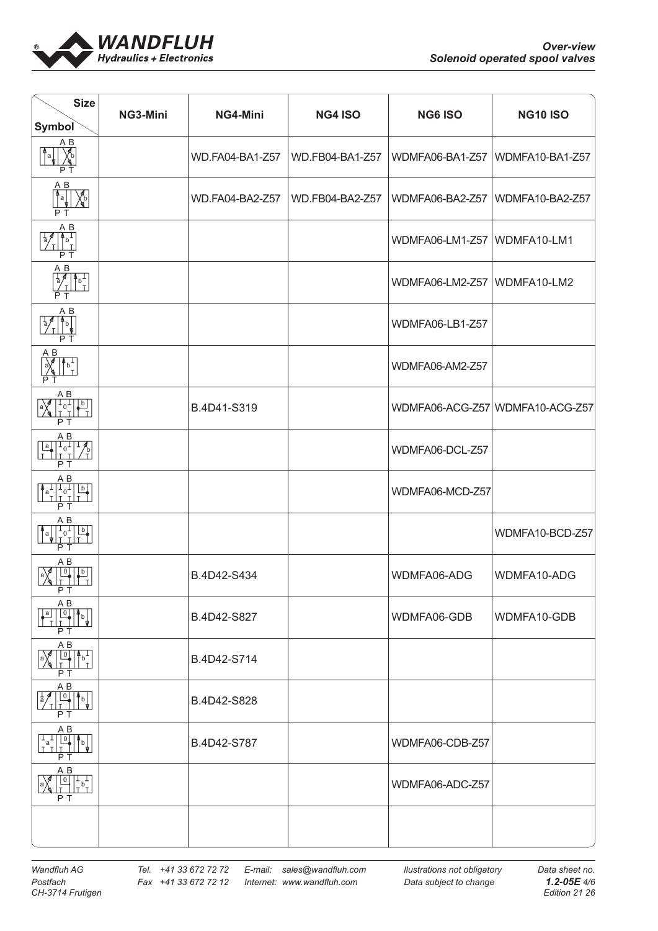

| <b>Size</b><br>Symbol                                                                                                                                                                                                                                                                                                                                                                                                                                                                                         | NG3-Mini | NG4-Mini        | <b>NG4 ISO</b>  | <b>NG6 ISO</b>  | <b>NG10 ISO</b>                 |
|---------------------------------------------------------------------------------------------------------------------------------------------------------------------------------------------------------------------------------------------------------------------------------------------------------------------------------------------------------------------------------------------------------------------------------------------------------------------------------------------------------------|----------|-----------------|-----------------|-----------------|---------------------------------|
| ΑB<br>'nа<br>P T                                                                                                                                                                                                                                                                                                                                                                                                                                                                                              |          | WD.FA04-BA1-Z57 | WD.FB04-BA1-Z57 | WDMFA06-BA1-Z57 | WDMFA10-BA1-Z57                 |
| $A$ $B$<br>$\begin{picture}(120,15) \put(0,0){\line(1,0){155}} \put(15,0){\line(1,0){155}} \put(15,0){\line(1,0){155}} \put(15,0){\line(1,0){155}} \put(15,0){\line(1,0){155}} \put(15,0){\line(1,0){155}} \put(15,0){\line(1,0){155}} \put(15,0){\line(1,0){155}} \put(15,0){\line(1,0){155}} \put(15,0){\line(1,0){155}} \put(15,0){\line(1,0){155}}$<br>Xb<br>РT                                                                                                                                           |          | WD.FA04-BA2-Z57 | WD.FB04-BA2-Z57 | WDMFA06-BA2-Z57 | WDMFA10-BA2-Z57                 |
| AВ<br>$\int_{L}^{L}$<br>$\frac{1}{a}$<br>P T                                                                                                                                                                                                                                                                                                                                                                                                                                                                  |          |                 |                 | WDMFA06-LM1-Z57 | WDMFA10-LM1                     |
| $A$ $B$<br>$\begin{bmatrix} 4 & 1 \\ 1 & 1 \end{bmatrix}$<br>$\frac{1}{\sqrt[3]{\pi}}$<br>P <sub>T</sub>                                                                                                                                                                                                                                                                                                                                                                                                      |          |                 |                 | WDMFA06-LM2-Z57 | WDMFA10-LM2                     |
| $A$ $B$<br>$\frac{1}{\sqrt{\frac{1}{n}}}\prod_{i=1}^{n}\frac{1}{n}$<br>$\frac{1}{a}$<br>P T                                                                                                                                                                                                                                                                                                                                                                                                                   |          |                 |                 | WDMFA06-LB1-Z57 |                                 |
| $A$ $B$<br>$\frac{1}{\sqrt{2}}$<br>$\left  \begin{matrix} 1 & b \\ 0 & 1 \end{matrix} \right $<br>PТ                                                                                                                                                                                                                                                                                                                                                                                                          |          |                 |                 | WDMFA06-AM2-Z57 |                                 |
| A B<br>$\begin{bmatrix} 1 & 1 \\ 0 & 1 \end{bmatrix}$<br>$\begin{array}{c} \mathbf{b} \\ \hline \mathbf{I} \end{array}$<br>$ a\rangle$<br>P T                                                                                                                                                                                                                                                                                                                                                                 |          | B.4D41-S319     |                 |                 | WDMFA06-ACG-Z57 WDMFA10-ACG-Z57 |
| ΑB<br>$\begin{array}{c c c}\n\hline\na & 1 & 1 & 4 \\ \hline\nT & T & T & T\n\end{array}$<br>P T                                                                                                                                                                                                                                                                                                                                                                                                              |          |                 |                 | WDMFA06-DCL-Z57 |                                 |
| ΑB<br>$\begin{bmatrix} a^{-1} & 1 & 0 \\ 1 & 1 & 1 \end{bmatrix}$<br>$\frac{b}{1}$<br>PТ                                                                                                                                                                                                                                                                                                                                                                                                                      |          |                 |                 | WDMFA06-MCD-Z57 |                                 |
| AВ<br>$\frac{1}{T_0}$<br>$\frac{\lvert b \rvert}{T}$<br>$e^{\frac{4}{3}}$<br>P T                                                                                                                                                                                                                                                                                                                                                                                                                              |          |                 |                 |                 | WDMFA10-BCD-Z57                 |
| ΑB<br>$\overline{0}$<br>$\frac{b}{T}$<br>$ \!{}^{\rm a}\!\rangle_{\!\!\rm s}$<br>۲Ι                                                                                                                                                                                                                                                                                                                                                                                                                           |          | B.4D42-S434     |                 | WDMFA06-ADG     | WDMFA10-ADG                     |
| A B<br>$\lfloor a \rfloor$<br>$\begin{array}{ c c c }\n\hline\n0 & \uparrow b \\ \hline\nT & \downarrow b\n\end{array}$<br>РT                                                                                                                                                                                                                                                                                                                                                                                 |          | B.4D42-S827     |                 | WDMFA06-GDB     | WDMFA10-GDB                     |
| ΑB<br>$\begin{array}{c c c c} \hline \multicolumn{1}{c }{\bigcirc} & \multicolumn{1}{c }{\uparrow} & \multicolumn{1}{c}{\uparrow} \\ \hline \multicolumn{1}{c }{\bigcirc} & \multicolumn{1}{c }{\uparrow} & \multicolumn{1}{c}{\uparrow} \\ \hline \multicolumn{1}{c }{\uparrow} & \multicolumn{1}{c}{\uparrow} & \multicolumn{1}{c}{\uparrow} \\ \hline \multicolumn{1}{c }{\uparrow} & \multicolumn{1}{c}{\uparrow} & \multicolumn{1}{c}{\uparrow} \\ \hline \multicolumn{1}{c }{\uparrow} & \multic$<br>РT |          | B.4D42-S714     |                 |                 |                                 |
| ΑB<br>$\begin{array}{ c c c }\n\hline\n0 & \uparrow b \\ \hline\nT & \uparrow \n\end{array}$<br>$\frac{1}{a}$<br>P <sub>T</sub>                                                                                                                                                                                                                                                                                                                                                                               |          | B.4D42-S828     |                 |                 |                                 |
| A B<br>$\begin{bmatrix} 1 & 1 & 0 & 0 \\ 1 & 1 & 0 & 0 \\ 1 & 1 & 1 & 0 \end{bmatrix}$<br>P T                                                                                                                                                                                                                                                                                                                                                                                                                 |          | B.4D42-S787     |                 | WDMFA06-CDB-Z57 |                                 |
| $A$ $B$<br>P T                                                                                                                                                                                                                                                                                                                                                                                                                                                                                                |          |                 |                 | WDMFA06-ADC-Z57 |                                 |
|                                                                                                                                                                                                                                                                                                                                                                                                                                                                                                               |          |                 |                 |                 |                                 |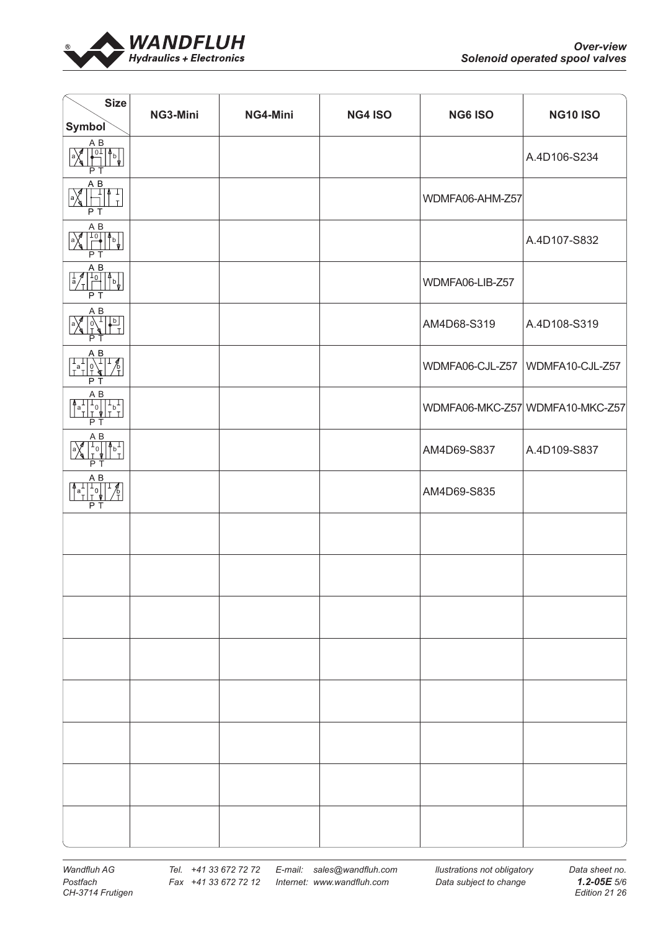

| <b>Size</b><br>Symbol                                                                                                                                                                                                                                                                                                                                                                                                                    | NG3-Mini | NG4-Mini | <b>NG4 ISO</b> | <b>NG6 ISO</b>  | <b>NG10 ISO</b>                 |
|------------------------------------------------------------------------------------------------------------------------------------------------------------------------------------------------------------------------------------------------------------------------------------------------------------------------------------------------------------------------------------------------------------------------------------------|----------|----------|----------------|-----------------|---------------------------------|
| $A$ $B$<br>$\begin{bmatrix} 0 & 1 & 0 \\ 0 & 1 & 0 \\ 0 & 0 & 0 \end{bmatrix}$<br>$ a\rangle$<br>P <sub>T</sub>                                                                                                                                                                                                                                                                                                                          |          |          |                |                 | A.4D106-S234                    |
| $\begin{array}{c}\n\uparrow \\ \hline\n\overline{AB} \\ \hline\n\uparrow\n\end{array}$<br>$\frac{1}{2}$<br>P T                                                                                                                                                                                                                                                                                                                           |          |          |                | WDMFA06-AHM-Z57 |                                 |
| A B<br>$\begin{bmatrix} 1 & 0 \\ 0 & 0 \\ 0 & 0 \end{bmatrix}$<br>$\begin{picture}(120,115)(-21,12){\vector(1,0){15}} \put(15,15){\vector(1,0){15}} \put(15,15){\vector(1,0){15}} \put(15,15){\vector(1,0){15}} \put(15,15){\vector(1,0){15}} \put(15,15){\vector(1,0){15}} \put(15,15){\vector(1,0){15}} \put(15,15){\vector(1,0){15}} \put(15,15){\vector(1,0){15}} \put(15,15){\vector(1,0){15}} \put(15,15){\vector(1,0){15}}$<br>PT |          |          |                |                 | A.4D107-S832                    |
| $A$ $B$<br>$\begin{array}{ c c c c }\hline 1 & 1 & 0 & 0 \\ \hline 0 & 1 & 0 & 0 \\ \hline \end{array}$<br>PT                                                                                                                                                                                                                                                                                                                            |          |          |                | WDMFA06-LIB-Z57 |                                 |
| $A$ $B$<br>$\begin{array}{c}\n\begin{array}{c}\n\overrightarrow{0} \\ \overrightarrow{0}\n\end{array}\n\end{array}$<br>a)<br>РT                                                                                                                                                                                                                                                                                                          |          |          |                | AM4D68-S319     | A.4D108-S319                    |
| $\begin{array}{r}\nA & B \\ \downarrow \\ \downarrow \\ \uparrow \\ \uparrow\n\end{array}$<br>P T                                                                                                                                                                                                                                                                                                                                        |          |          |                | WDMFA06-CJL-Z57 | WDMFA10-CJL-Z57                 |
| A B<br>$\begin{bmatrix} 1 & 0 \\ 0 & 1 \\ 1 & 0 \end{bmatrix}$<br>$\int_{a}^{1}$<br>P T                                                                                                                                                                                                                                                                                                                                                  |          |          |                |                 | WDMFA06-MKC-Z57 WDMFA10-MKC-Z57 |
| A B<br>$\frac{1}{10}$ $\frac{1}{10}$ $\frac{1}{10}$<br>a)<br>РT                                                                                                                                                                                                                                                                                                                                                                          |          |          |                | AM4D69-S837     | A.4D109-S837                    |
| $\begin{array}{r}\nAB \\ \uparrow a + 1 \\ \uparrow b + 2 \\ \hline\n\end{array}$<br>$\overline{P}$ T                                                                                                                                                                                                                                                                                                                                    |          |          |                | AM4D69-S835     |                                 |
|                                                                                                                                                                                                                                                                                                                                                                                                                                          |          |          |                |                 |                                 |
|                                                                                                                                                                                                                                                                                                                                                                                                                                          |          |          |                |                 |                                 |
|                                                                                                                                                                                                                                                                                                                                                                                                                                          |          |          |                |                 |                                 |
|                                                                                                                                                                                                                                                                                                                                                                                                                                          |          |          |                |                 |                                 |
|                                                                                                                                                                                                                                                                                                                                                                                                                                          |          |          |                |                 |                                 |
|                                                                                                                                                                                                                                                                                                                                                                                                                                          |          |          |                |                 |                                 |
|                                                                                                                                                                                                                                                                                                                                                                                                                                          |          |          |                |                 |                                 |
|                                                                                                                                                                                                                                                                                                                                                                                                                                          |          |          |                |                 |                                 |